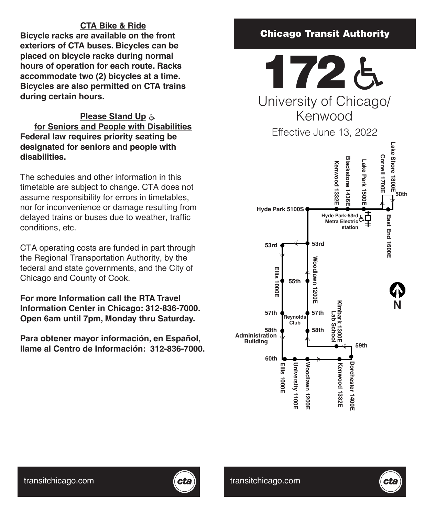# **CTA Bike & Ride**

**Bicycle racks are available on the front exteriors of CTA buses. Bicycles can be placed on bicycle racks during normal hours of operation for each route. Racks accommodate two (2) bicycles at a time. Bicycles are also permitted on CTA trains during certain hours.**

# **Please Stand Up for Seniors and People with Disabilities Federal law requires priority seating be designated for seniors and people with disabilities.**

The schedules and other information in this timetable are subject to change. CTA does not assume responsibility for errors in timetables, nor for inconvenience or damage resulting from delayed trains or buses due to weather, traffic conditions, etc.

CTA operating costs are funded in part through the Regional Transportation Authority, by the federal and state governments, and the City of Chicago and County of Cook.

**For more Information call the RTA Travel Information Center in Chicago: 312-836-7000. Open 6am until 7pm, Monday thru Saturday.**

**Para obtener mayor información, en Español, llame al Centro de Información: 312-836-7000.**